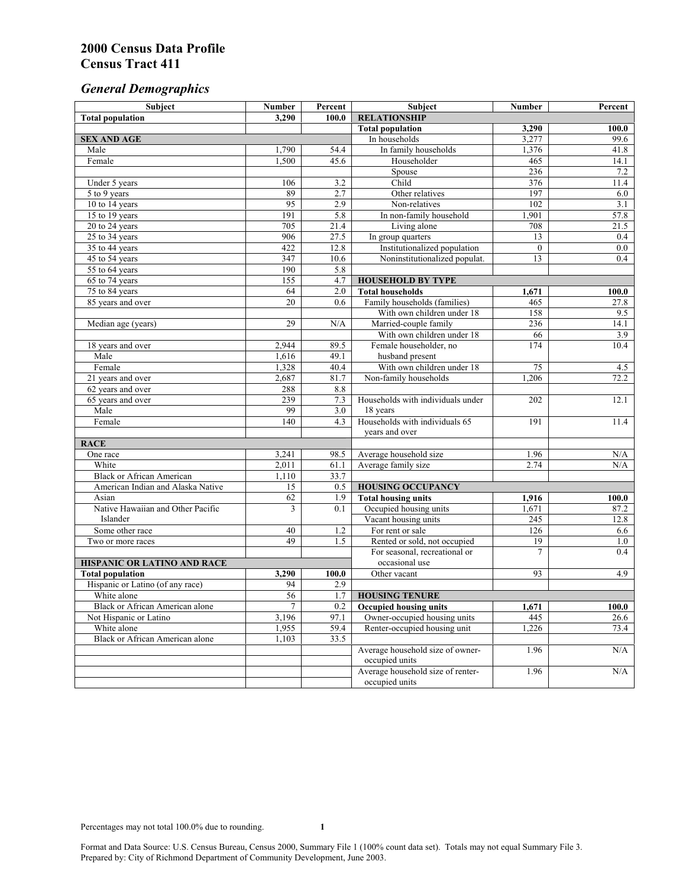# *General Demographics*

| Subject                                | <b>Number</b>   | Percent          | Subject                                    | Number         | Percent          |
|----------------------------------------|-----------------|------------------|--------------------------------------------|----------------|------------------|
| <b>Total population</b>                | 3,290           | 100.0            | <b>RELATIONSHIP</b>                        |                |                  |
|                                        |                 |                  | <b>Total population</b>                    | 3,290          | 100.0            |
| <b>SEX AND AGE</b>                     |                 |                  | In households                              | 3,277          | 99.6             |
| Male                                   | 1,790           | 54.4             | In family households                       | 1,376          | 41.8             |
| Female                                 | 1,500           | 45.6             | Householder                                | 465            | 14.1             |
|                                        |                 |                  | Spouse                                     | 236            | 7.2              |
| Under 5 years                          | 106             | 3.2              | Child                                      | 376            | 11.4             |
| 5 to 9 years                           | 89              | $\overline{2.7}$ | Other relatives                            | 197            | 6.0              |
| 10 to 14 years                         | 95              | 2.9              | Non-relatives                              | 102            | $\overline{3.1}$ |
| 15 to 19 years                         | 191             | 5.8              | In non-family household                    | 1,901          | 57.8             |
| 20 to 24 years                         | 705             | 21.4             | Living alone                               | 708            | 21.5             |
| $25$ to 34 years                       | 906             | 27.5             | In group quarters                          | 13             | 0.4              |
| 35 to 44 years                         | 422             | 12.8             | Institutionalized population               | $\mathbf{0}$   | 0.0              |
| 45 to 54 years                         | 347             | 10.6             | Noninstitutionalized populat.              | 13             | 0.4              |
| 55 to 64 years                         | 190             | 5.8              |                                            |                |                  |
| 65 to 74 years                         | 155             | 4.7              | <b>HOUSEHOLD BY TYPE</b>                   |                |                  |
| 75 to 84 years                         | 64              | 2.0              | <b>Total households</b>                    | 1,671          | 100.0            |
| 85 years and over                      | $\overline{20}$ | 0.6              | Family households (families)               | 465            | 27.8             |
|                                        |                 |                  | With own children under 18                 | 158            | 9.5              |
| Median age (years)                     | 29              | N/A              | Married-couple family                      | 236            | 14.1             |
|                                        |                 |                  | With own children under 18                 | 66             | 3.9              |
| 18 years and over                      | 2,944           | 89.5             | Female householder, no                     | 174            | 10.4             |
| Male                                   | 1,616           | 49.1             | husband present                            |                |                  |
| Female                                 | 1,328           | 40.4             | With own children under 18                 | 75             | 4.5              |
| 21 years and over                      | 2,687           | 81.7             | Non-family households                      | 1,206          | 72.2             |
| 62 years and over                      | 288<br>239      | 8.8              |                                            |                |                  |
| 65 years and over<br>Male              | 99              | 7.3              | Households with individuals under          | 202            | 12.1             |
| Female                                 | 140             | 3.0<br>4.3       | 18 years<br>Households with individuals 65 | 191            |                  |
|                                        |                 |                  |                                            |                | 11.4             |
| <b>RACE</b>                            |                 |                  | years and over                             |                |                  |
| One race                               | 3,241           | 98.5             | Average household size                     | 1.96           | N/A              |
| White                                  | 2,011           | 61.1             | Average family size                        | 2.74           | N/A              |
| <b>Black or African American</b>       | 1,110           | 33.7             |                                            |                |                  |
| American Indian and Alaska Native      | 15              | 0.5              | <b>HOUSING OCCUPANCY</b>                   |                |                  |
| Asian                                  | 62              | 1.9              | <b>Total housing units</b>                 | 1,916          | 100.0            |
| Native Hawaiian and Other Pacific      | 3               | 0.1              | Occupied housing units                     | 1,671          | 87.2             |
| Islander                               |                 |                  | Vacant housing units                       | 245            | 12.8             |
| Some other race                        | 40              | 1.2              | For rent or sale                           | 126            | 6.6              |
| Two or more races                      | 49              | 1.5              | Rented or sold, not occupied               | 19             | 1.0              |
|                                        |                 |                  | For seasonal, recreational or              | $\overline{7}$ | 0.4              |
| HISPANIC OR LATINO AND RACE            |                 |                  | occasional use                             |                |                  |
| <b>Total population</b>                | 3,290           | 100.0            | Other vacant                               | 93             | 4.9              |
| Hispanic or Latino (of any race)       | 94              | 2.9              |                                            |                |                  |
| White alone                            | 56              | 1.7              | <b>HOUSING TENURE</b>                      |                |                  |
| Black or African American alone        | 7               | 0.2              | <b>Occupied housing units</b>              | 1,671          | 100.0            |
| Not Hispanic or Latino                 | 3,196           | 97.1             | Owner-occupied housing units               | 445            | 26.6             |
| White alone                            | 1,955           | 59.4             | Renter-occupied housing unit               | 1,226          | 73.4             |
| <b>Black or African American alone</b> | 1,103           | 33.5             |                                            |                |                  |
|                                        |                 |                  | Average household size of owner-           | 1.96           | N/A              |
|                                        |                 |                  | occupied units                             |                |                  |
|                                        |                 |                  | Average household size of renter-          | 1.96           | N/A              |
|                                        |                 |                  | occupied units                             |                |                  |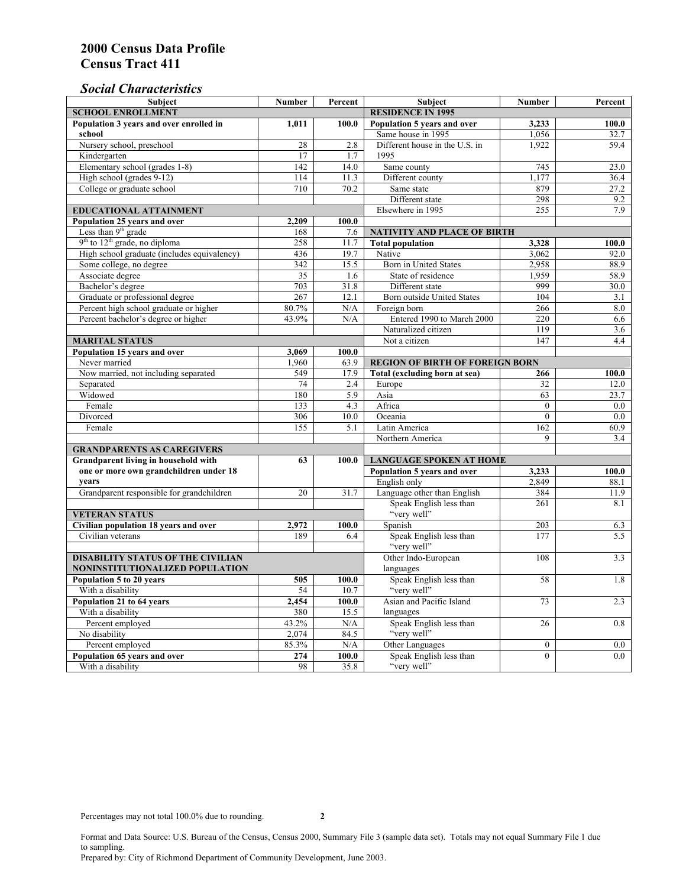### *Social Characteristics*

| <b>Subject</b>                                      | <b>Number</b>            | Percent | <b>Subject</b>                         | <b>Number</b>    | Percent |
|-----------------------------------------------------|--------------------------|---------|----------------------------------------|------------------|---------|
| <b>SCHOOL ENROLLMENT</b>                            | <b>RESIDENCE IN 1995</b> |         |                                        |                  |         |
| Population 3 years and over enrolled in             | 1,011                    | 100.0   | Population 5 years and over            | 3,233            | 100.0   |
| school                                              |                          |         | Same house in 1995                     | 1,056            | 32.7    |
| Nursery school, preschool                           | 28                       | 2.8     | Different house in the U.S. in         | 1,922            | 59.4    |
| Kindergarten                                        | 17                       | 1.7     | 1995                                   |                  |         |
| Elementary school (grades 1-8)                      | 142                      | 14.0    | Same county                            | 745              | 23.0    |
| High school (grades 9-12)                           | 114                      | 11.3    | Different county                       | 1,177            | 36.4    |
| College or graduate school                          | 710                      | 70.2    | Same state                             | 879              | 27.2    |
|                                                     |                          |         | Different state                        | 298              | 9.2     |
| EDUCATIONAL ATTAINMENT                              |                          |         | Elsewhere in 1995                      | 255              | 7.9     |
| Population 25 years and over                        | 2,209                    | 100.0   |                                        |                  |         |
| Less than 9 <sup>th</sup> grade                     | 168                      | 7.6     | <b>NATIVITY AND PLACE OF BIRTH</b>     |                  |         |
| $9th$ to $12th$ grade, no diploma                   | 258                      | 11.7    | <b>Total population</b>                | 3,328            | 100.0   |
| High school graduate (includes equivalency)         | 436                      | 19.7    | Native                                 | 3.062            | 92.0    |
| Some college, no degree                             | 342                      | 15.5    | Born in United States                  | 2,958            | 88.9    |
| Associate degree                                    | 35                       | 1.6     | State of residence                     | 1,959            | 58.9    |
| Bachelor's degree                                   | 703                      | 31.8    | Different state                        | 999              | 30.0    |
| Graduate or professional degree                     | 267                      | 12.1    | <b>Born outside United States</b>      | 104              | 3.1     |
| Percent high school graduate or higher              | 80.7%                    | N/A     | Foreign born                           | 266              | 8.0     |
| Percent bachelor's degree or higher                 | 43.9%                    | N/A     | Entered 1990 to March 2000             | 220              | 6.6     |
|                                                     |                          |         | Naturalized citizen                    | 119              | 3.6     |
| <b>MARITAL STATUS</b>                               |                          |         | Not a citizen                          | 147              | 4.4     |
| Population 15 years and over                        | 3.069                    | 100.0   |                                        |                  |         |
| Never married                                       | 1.960                    | 63.9    | <b>REGION OF BIRTH OF FOREIGN BORN</b> |                  |         |
| Now married, not including separated                | 549                      | 17.9    | Total (excluding born at sea)          | 266              | 100.0   |
| Separated                                           | $\overline{74}$          | 2.4     | Europe                                 | 32               | 12.0    |
| Widowed                                             | 180                      | 5.9     | Asia                                   | 63               | 23.7    |
| Female                                              | 133                      | 4.3     | Africa                                 | $\theta$         | 0.0     |
| Divorced                                            | 306                      | 10.0    | Oceania                                | $\theta$         | 0.0     |
| Female                                              | 155                      | 5.1     | Latin America                          | 162              | 60.9    |
|                                                     |                          |         | Northern America                       | 9                | 3.4     |
| <b>GRANDPARENTS AS CAREGIVERS</b>                   |                          |         |                                        |                  |         |
| Grandparent living in household with<br>63<br>100.0 |                          |         | <b>LANGUAGE SPOKEN AT HOME</b>         |                  |         |
| one or more own grandchildren under 18              |                          |         | Population 5 years and over            | 3,233            | 100.0   |
| years                                               |                          |         | English only                           | 2.849            | 88.1    |
| Grandparent responsible for grandchildren           | 20                       | 31.7    | Language other than English            | 384              | 11.9    |
|                                                     |                          |         | Speak English less than                | 261              | 8.1     |
| <b>VETERAN STATUS</b>                               |                          |         | "very well"                            |                  |         |
| Civilian population 18 years and over               | 2,972                    | 100.0   | Spanish                                | 203              | 6.3     |
| Civilian veterans                                   | 189                      | 6.4     | Speak English less than                | 177              | 5.5     |
|                                                     |                          |         | "very well"                            |                  |         |
| <b>DISABILITY STATUS OF THE CIVILIAN</b>            | Other Indo-European      | 108     | 3.3                                    |                  |         |
| NONINSTITUTIONALIZED POPULATION                     | languages                |         |                                        |                  |         |
| Population 5 to 20 years                            | 505                      | 100.0   | Speak English less than                | 58               | 1.8     |
| With a disability                                   | 54                       | 10.7    | "very well"                            |                  |         |
| Population 21 to 64 years                           | 2.454                    | 100.0   | Asian and Pacific Island               | 73               | 2.3     |
| With a disability                                   | 380                      | 15.5    | languages                              |                  |         |
| Percent employed                                    | 43.2%                    | N/A     | Speak English less than                | 26               | 0.8     |
| No disability                                       | 2,074                    | 84.5    | "very well"                            |                  |         |
| Percent employed                                    | 85.3%                    | N/A     | Other Languages                        | $\boldsymbol{0}$ | $0.0\,$ |
| Population 65 years and over                        | 274                      | 100.0   | Speak English less than                | $\mathbf{0}$     | 0.0     |
| With a disability                                   | 98                       | 35.8    | "very well"                            |                  |         |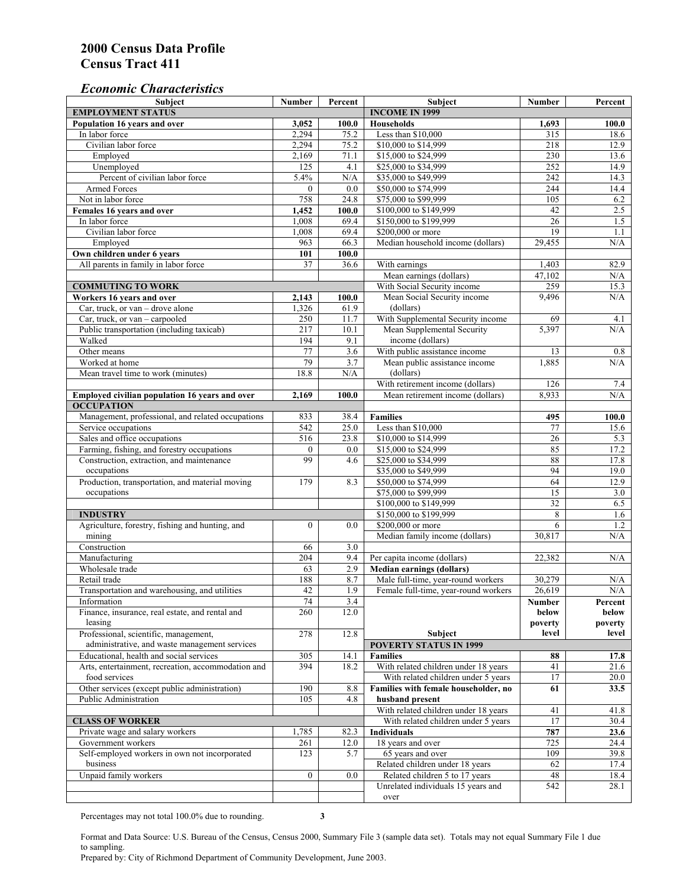#### *Economic Characteristics*

| <b>Subject</b>                                     | <b>Number</b>    | Percent     | Subject                                                 | <b>Number</b>   | Percent          |
|----------------------------------------------------|------------------|-------------|---------------------------------------------------------|-----------------|------------------|
| <b>EMPLOYMENT STATUS</b>                           |                  |             | <b>INCOME IN 1999</b>                                   |                 |                  |
| Population 16 years and over                       | 3,052            | 100.0       | <b>Households</b>                                       | 1,693           | 100.0            |
| In labor force                                     | 2,294            | 75.2        | Less than \$10,000                                      | 315             | 18.6             |
| Civilian labor force                               | 2,294            | 75.2        | \$10,000 to \$14,999                                    | 218             | 12.9             |
| Employed                                           | 2,169            | 71.1        | \$15,000 to \$24,999                                    | 230             | 13.6             |
| Unemployed                                         | 125              | 4.1         | \$25,000 to \$34,999                                    | 252             | 14.9             |
| Percent of civilian labor force                    | 5.4%             | N/A         | \$35,000 to \$49,999                                    | 242             | 14.3             |
| Armed Forces                                       | $\mathbf{0}$     | 0.0         | \$50,000 to \$74,999                                    | 244             | 14.4             |
| Not in labor force                                 | 758              | 24.8        | \$75,000 to \$99,999                                    | 105             | 6.2              |
| Females 16 years and over                          | 1,452            | 100.0       | \$100,000 to \$149,999                                  | 42              | 2.5              |
| In labor force                                     | 1,008            | 69.4        | \$150,000 to \$199,999                                  | 26              | 1.5              |
| Civilian labor force                               | 1,008            | 69.4        | \$200,000 or more                                       | 19              | 1.1              |
| Employed                                           | 963              | 66.3        | Median household income (dollars)                       | 29,455          | N/A              |
| Own children under 6 years                         | 101              | 100.0       |                                                         |                 |                  |
| All parents in family in labor force               | 37               | 36.6        | With earnings                                           | 1,403           | 82.9             |
|                                                    |                  |             | Mean earnings (dollars)                                 | 47,102          | N/A              |
| <b>COMMUTING TO WORK</b>                           |                  |             | With Social Security income                             | 259             | 15.3             |
| Workers 16 years and over                          | 2,143            | 100.0       | Mean Social Security income                             | 9,496           | N/A              |
| Car, truck, or van - drove alone                   | 1,326            | 61.9        | (dollars)                                               |                 |                  |
| Car, truck, or van – carpooled                     | 250              | 11.7        | With Supplemental Security income                       | 69              | 4.1              |
| Public transportation (including taxicab)          | 217              | 10.1        | Mean Supplemental Security                              | 5,397           | N/A              |
| Walked                                             | 194              | 9.1         | income (dollars)                                        |                 |                  |
| Other means                                        | 77               | 3.6         | With public assistance income                           | 13              | 0.8              |
| Worked at home                                     | 79               | 3.7         | Mean public assistance income                           | 1,885           | N/A              |
| Mean travel time to work (minutes)                 | 18.8             | N/A         | (dollars)                                               |                 |                  |
|                                                    |                  |             | With retirement income (dollars)                        | 126             | 7.4              |
| Employed civilian population 16 years and over     | 2,169            | 100.0       | Mean retirement income (dollars)                        | 8,933           | N/A              |
| <b>OCCUPATION</b>                                  |                  |             |                                                         |                 |                  |
| Management, professional, and related occupations  | 833              | 38.4        | <b>Families</b>                                         | 495             | 100.0            |
| Service occupations                                | 542              | 25.0        | Less than \$10,000                                      | 77              | 15.6             |
| Sales and office occupations                       | 516              | 23.8        | \$10,000 to \$14,999                                    | $\overline{26}$ | 5.3              |
| Farming, fishing, and forestry occupations         | $\boldsymbol{0}$ | 0.0         | \$15,000 to \$24,999                                    | 85              | 17.2             |
| Construction, extraction, and maintenance          | 99               | 4.6         | \$25,000 to \$34,999                                    | 88              | 17.8             |
| occupations                                        |                  |             | \$35,000 to \$49,999                                    | 94              | 19.0             |
| Production, transportation, and material moving    | 179              | 8.3         | \$50,000 to \$74,999                                    | 64              | 12.9             |
| occupations                                        |                  |             | \$75,000 to \$99,999                                    | 15              | 3.0              |
|                                                    |                  |             | \$100,000 to \$149,999                                  | $\overline{32}$ | 6.5              |
| <b>INDUSTRY</b>                                    |                  |             | \$150,000 to \$199,999                                  | 8               | 1.6              |
| Agriculture, forestry, fishing and hunting, and    | $\boldsymbol{0}$ | 0.0         | \$200,000 or more                                       | 6               | 1.2              |
| mining                                             |                  |             | Median family income (dollars)                          | 30,817          | $\rm N/A$        |
| Construction                                       | 66               | 3.0         |                                                         |                 |                  |
| Manufacturing                                      | 204              | 9.4         | Per capita income (dollars)                             | 22,382          | N/A              |
| Wholesale trade                                    | 63               | 2.9         | <b>Median earnings (dollars)</b>                        |                 |                  |
| Retail trade                                       | 188              | 8.7         | Male full-time, year-round workers                      | 30,279          | N/A              |
| Transportation and warehousing, and utilities      | 42               | 1.9         | Female full-time, year-round workers                    | 26,619          | N/A              |
| Information                                        |                  |             |                                                         |                 |                  |
| Finance, insurance, real estate, and rental and    | 74<br>260        | 3.4<br>12.0 |                                                         | Number<br>below | Percent<br>below |
| leasing                                            |                  |             |                                                         | poverty         | poverty          |
| Professional, scientific, management,              | 278              | 12.8        | Subject                                                 | level           | level            |
| administrative, and waste management services      |                  |             | <b>POVERTY STATUS IN 1999</b>                           |                 |                  |
| Educational, health and social services            | 305              | 14.1        | <b>Families</b>                                         | 88              | 17.8             |
| Arts, entertainment, recreation, accommodation and | 394              | 18.2        | With related children under 18 years                    | 41              | 21.6             |
| food services                                      |                  |             | With related children under 5 years                     | 17              | 20.0             |
| Other services (except public administration)      | 190              |             | Families with female householder, no                    |                 |                  |
|                                                    |                  | 8.8         |                                                         | 61              | 33.5             |
| Public Administration                              | 105              | 4.8         | husband present<br>With related children under 18 years |                 |                  |
|                                                    |                  |             |                                                         | 41              | 41.8             |
| <b>CLASS OF WORKER</b>                             |                  |             | With related children under 5 years                     | 17              | 30.4             |
| Private wage and salary workers                    | 1,785            | 82.3        | Individuals                                             | 787             | 23.6             |
| Government workers                                 | 261              | 12.0        | 18 years and over                                       | 725             | 24.4             |
| Self-employed workers in own not incorporated      | 123              | 5.7         | 65 years and over                                       | 109             | 39.8             |
| business                                           |                  |             | Related children under 18 years                         | 62              | 17.4             |
| Unpaid family workers                              | $\mathbf{0}$     | 0.0         | Related children 5 to 17 years                          | 48              | 18.4             |
|                                                    |                  |             | Unrelated individuals 15 years and                      | 542             | 28.1             |
|                                                    |                  |             | over                                                    |                 |                  |

Percentages may not total 100.0% due to rounding. **3** 

Format and Data Source: U.S. Bureau of the Census, Census 2000, Summary File 3 (sample data set). Totals may not equal Summary File 1 due to sampling.

Prepared by: City of Richmond Department of Community Development, June 2003.